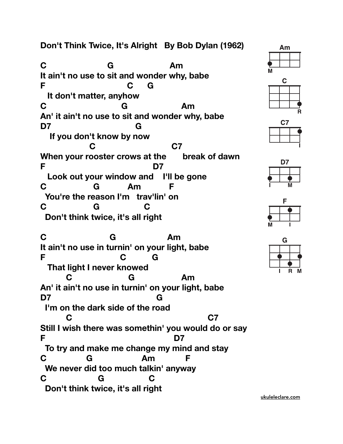## **Don't Think Twice, It's Alright By Bob Dylan (1962)**

**C G Am It ain't no use to sit and wonder why, babe F C G It don't matter, anyhow C G Am An' it ain't no use to sit and wonder why, babe D7 G If you don't know by now C C7 When your rooster crows at the break of dawn F D7 Look out your window and I'll be gone C G Am F You're the reason I'm trav'lin' on C G C Don't think twice, it's all right** 

**C G Am It ain't no use in turnin' on your light, babe F C G That light I never knowed C G Am An' it ain't no use in turnin' on your light, babe D7 G I'm on the dark side of the road C C7 Still I wish there was somethin' you would do or say F D7 To try and make me change my mind and stay C G Am F We never did too much talkin' anyway C G C Don't think twice, it's all right** 











[ukuleleclare.com](http://ukuleleclare.com)